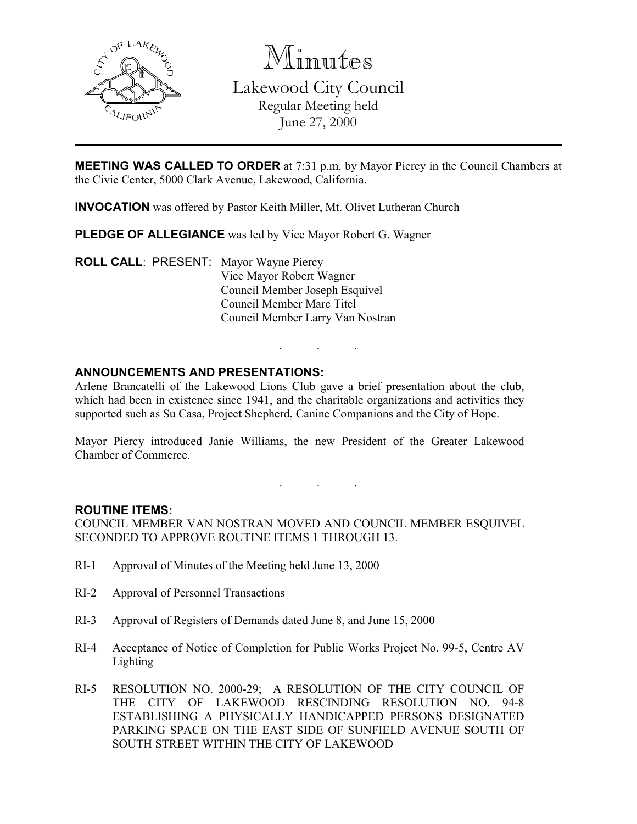

Minutes

Lakewood City Council Regular Meeting held June 27, 2000

MEETING WAS CALLED TO ORDER at 7:31 p.m. by Mayor Piercy in the Council Chambers at the Civic Center, 5000 Clark Avenue, Lakewood, California.

INVOCATION was offered by Pastor Keith Miller, Mt. Olivet Lutheran Church

PLEDGE OF ALLEGIANCE was led by Vice Mayor Robert G. Wagner

ROLL CALL: PRESENT: Mayor Wayne Piercy Vice Mayor Robert Wagner Council Member Joseph Esquivel Council Member Marc Titel Council Member Larry Van Nostran

## ANNOUNCEMENTS AND PRESENTATIONS:

Arlene Brancatelli of the Lakewood Lions Club gave a brief presentation about the club, which had been in existence since 1941, and the charitable organizations and activities they supported such as Su Casa, Project Shepherd, Canine Companions and the City of Hope.

. . .

Mayor Piercy introduced Janie Williams, the new President of the Greater Lakewood Chamber of Commerce.

. . .

### ROUTINE ITEMS:

COUNCIL MEMBER VAN NOSTRAN MOVED AND COUNCIL MEMBER ESQUIVEL SECONDED TO APPROVE ROUTINE ITEMS 1 THROUGH 13.

- RI-1 Approval of Minutes of the Meeting held June 13, 2000
- RI-2 Approval of Personnel Transactions
- RI-3 Approval of Registers of Demands dated June 8, and June 15, 2000
- RI-4 Acceptance of Notice of Completion for Public Works Project No. 99-5, Centre AV Lighting
- RI-5 RESOLUTION NO. 2000-29; A RESOLUTION OF THE CITY COUNCIL OF THE CITY OF LAKEWOOD RESCINDING RESOLUTION NO. 94-8 ESTABLISHING A PHYSICALLY HANDICAPPED PERSONS DESIGNATED PARKING SPACE ON THE EAST SIDE OF SUNFIELD AVENUE SOUTH OF SOUTH STREET WITHIN THE CITY OF LAKEWOOD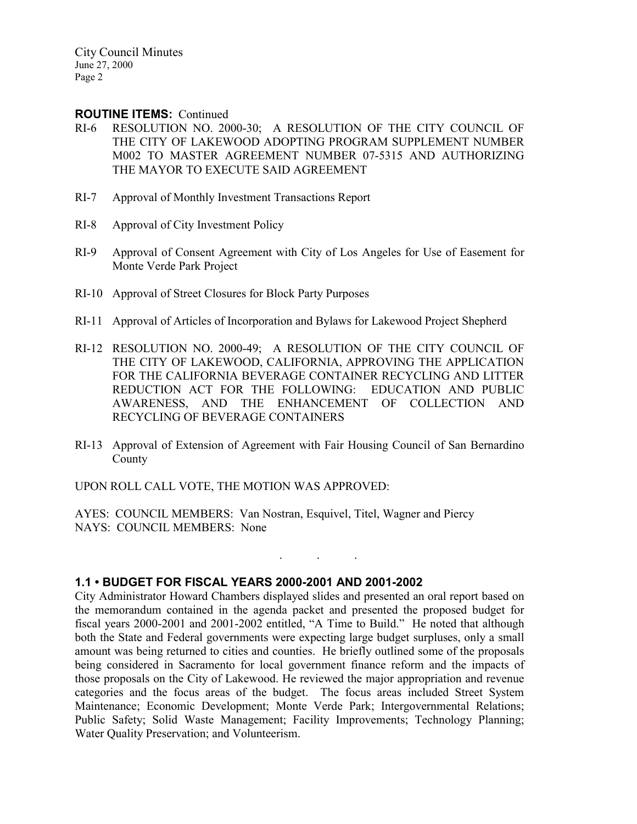### ROUTINE ITEMS: Continued

- RI-6 RESOLUTION NO. 2000-30; A RESOLUTION OF THE CITY COUNCIL OF THE CITY OF LAKEWOOD ADOPTING PROGRAM SUPPLEMENT NUMBER M002 TO MASTER AGREEMENT NUMBER 07-5315 AND AUTHORIZING THE MAYOR TO EXECUTE SAID AGREEMENT
- RI-7 Approval of Monthly Investment Transactions Report
- RI-8 Approval of City Investment Policy
- RI-9 Approval of Consent Agreement with City of Los Angeles for Use of Easement for Monte Verde Park Project
- RI-10 Approval of Street Closures for Block Party Purposes
- RI-11 Approval of Articles of Incorporation and Bylaws for Lakewood Project Shepherd
- RI-12 RESOLUTION NO. 2000-49; A RESOLUTION OF THE CITY COUNCIL OF THE CITY OF LAKEWOOD, CALIFORNIA, APPROVING THE APPLICATION FOR THE CALIFORNIA BEVERAGE CONTAINER RECYCLING AND LITTER REDUCTION ACT FOR THE FOLLOWING: EDUCATION AND PUBLIC AWARENESS, AND THE ENHANCEMENT OF COLLECTION AND RECYCLING OF BEVERAGE CONTAINERS
- RI-13 Approval of Extension of Agreement with Fair Housing Council of San Bernardino County

. . .

UPON ROLL CALL VOTE, THE MOTION WAS APPROVED:

AYES: COUNCIL MEMBERS: Van Nostran, Esquivel, Titel, Wagner and Piercy NAYS: COUNCIL MEMBERS: None

## 1.1 • BUDGET FOR FISCAL YEARS 2000-2001 AND 2001-2002

City Administrator Howard Chambers displayed slides and presented an oral report based on the memorandum contained in the agenda packet and presented the proposed budget for fiscal years 2000-2001 and 2001-2002 entitled, "A Time to Build." He noted that although both the State and Federal governments were expecting large budget surpluses, only a small amount was being returned to cities and counties. He briefly outlined some of the proposals being considered in Sacramento for local government finance reform and the impacts of those proposals on the City of Lakewood. He reviewed the major appropriation and revenue categories and the focus areas of the budget. The focus areas included Street System Maintenance; Economic Development; Monte Verde Park; Intergovernmental Relations; Public Safety; Solid Waste Management; Facility Improvements; Technology Planning; Water Quality Preservation; and Volunteerism.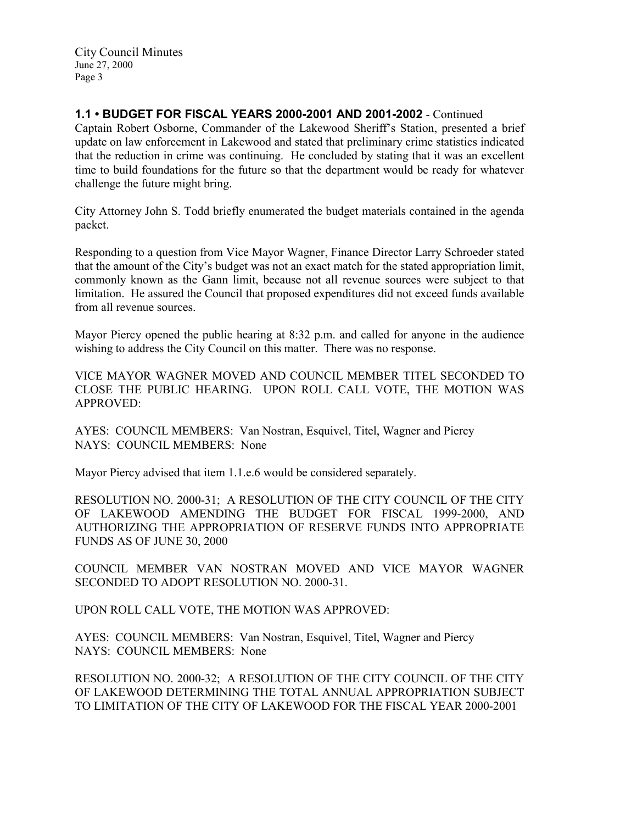# 1.1 • BUDGET FOR FISCAL YEARS 2000-2001 AND 2001-2002 - Continued

Captain Robert Osborne, Commander of the Lakewood Sheriff's Station, presented a brief update on law enforcement in Lakewood and stated that preliminary crime statistics indicated that the reduction in crime was continuing. He concluded by stating that it was an excellent time to build foundations for the future so that the department would be ready for whatever challenge the future might bring.

City Attorney John S. Todd briefly enumerated the budget materials contained in the agenda packet.

Responding to a question from Vice Mayor Wagner, Finance Director Larry Schroeder stated that the amount of the City's budget was not an exact match for the stated appropriation limit, commonly known as the Gann limit, because not all revenue sources were subject to that limitation. He assured the Council that proposed expenditures did not exceed funds available from all revenue sources.

Mayor Piercy opened the public hearing at 8:32 p.m. and called for anyone in the audience wishing to address the City Council on this matter. There was no response.

VICE MAYOR WAGNER MOVED AND COUNCIL MEMBER TITEL SECONDED TO CLOSE THE PUBLIC HEARING. UPON ROLL CALL VOTE, THE MOTION WAS APPROVED:

AYES: COUNCIL MEMBERS: Van Nostran, Esquivel, Titel, Wagner and Piercy NAYS: COUNCIL MEMBERS: None

Mayor Piercy advised that item 1.1.e.6 would be considered separately.

RESOLUTION NO. 2000-31; A RESOLUTION OF THE CITY COUNCIL OF THE CITY OF LAKEWOOD AMENDING THE BUDGET FOR FISCAL 1999-2000, AND AUTHORIZING THE APPROPRIATION OF RESERVE FUNDS INTO APPROPRIATE FUNDS AS OF JUNE 30, 2000

COUNCIL MEMBER VAN NOSTRAN MOVED AND VICE MAYOR WAGNER SECONDED TO ADOPT RESOLUTION NO. 2000-31.

UPON ROLL CALL VOTE, THE MOTION WAS APPROVED:

AYES: COUNCIL MEMBERS: Van Nostran, Esquivel, Titel, Wagner and Piercy NAYS: COUNCIL MEMBERS: None

RESOLUTION NO. 2000-32; A RESOLUTION OF THE CITY COUNCIL OF THE CITY OF LAKEWOOD DETERMINING THE TOTAL ANNUAL APPROPRIATION SUBJECT TO LIMITATION OF THE CITY OF LAKEWOOD FOR THE FISCAL YEAR 2000-2001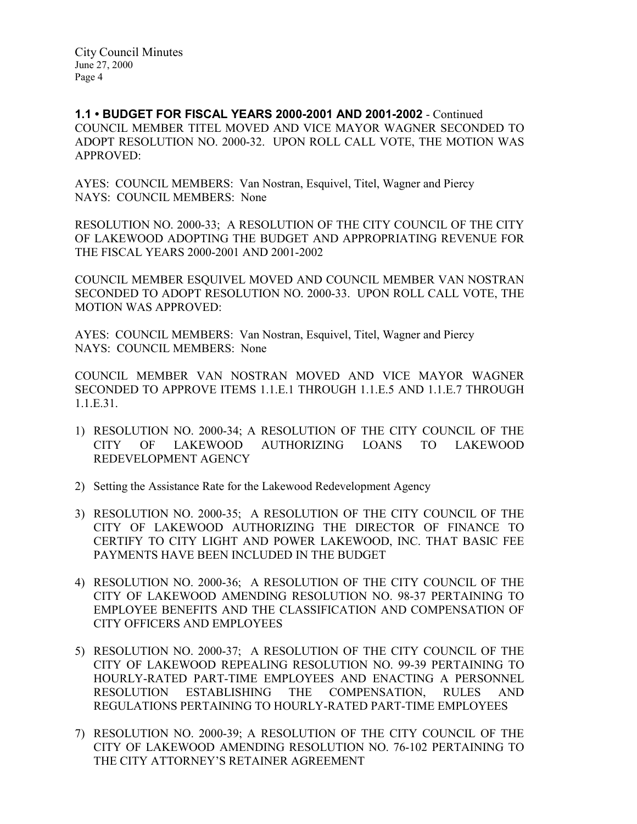1.1 • BUDGET FOR FISCAL YEARS 2000-2001 AND 2001-2002 - Continued COUNCIL MEMBER TITEL MOVED AND VICE MAYOR WAGNER SECONDED TO ADOPT RESOLUTION NO. 2000-32. UPON ROLL CALL VOTE, THE MOTION WAS APPROVED:

AYES: COUNCIL MEMBERS: Van Nostran, Esquivel, Titel, Wagner and Piercy NAYS: COUNCIL MEMBERS: None

RESOLUTION NO. 2000-33; A RESOLUTION OF THE CITY COUNCIL OF THE CITY OF LAKEWOOD ADOPTING THE BUDGET AND APPROPRIATING REVENUE FOR THE FISCAL YEARS 2000-2001 AND 2001-2002

COUNCIL MEMBER ESQUIVEL MOVED AND COUNCIL MEMBER VAN NOSTRAN SECONDED TO ADOPT RESOLUTION NO. 2000-33. UPON ROLL CALL VOTE, THE MOTION WAS APPROVED:

AYES: COUNCIL MEMBERS: Van Nostran, Esquivel, Titel, Wagner and Piercy NAYS: COUNCIL MEMBERS: None

COUNCIL MEMBER VAN NOSTRAN MOVED AND VICE MAYOR WAGNER SECONDED TO APPROVE ITEMS 1.1.E.1 THROUGH 1.1.E.5 AND 1.1.E.7 THROUGH 1.1.E.31.

- 1) RESOLUTION NO. 2000-34; A RESOLUTION OF THE CITY COUNCIL OF THE CITY OF LAKEWOOD AUTHORIZING LOANS TO LAKEWOOD REDEVELOPMENT AGENCY
- 2) Setting the Assistance Rate for the Lakewood Redevelopment Agency
- 3) RESOLUTION NO. 2000-35; A RESOLUTION OF THE CITY COUNCIL OF THE CITY OF LAKEWOOD AUTHORIZING THE DIRECTOR OF FINANCE TO CERTIFY TO CITY LIGHT AND POWER LAKEWOOD, INC. THAT BASIC FEE PAYMENTS HAVE BEEN INCLUDED IN THE BUDGET
- 4) RESOLUTION NO. 2000-36; A RESOLUTION OF THE CITY COUNCIL OF THE CITY OF LAKEWOOD AMENDING RESOLUTION NO. 98-37 PERTAINING TO EMPLOYEE BENEFITS AND THE CLASSIFICATION AND COMPENSATION OF CITY OFFICERS AND EMPLOYEES
- 5) RESOLUTION NO. 2000-37; A RESOLUTION OF THE CITY COUNCIL OF THE CITY OF LAKEWOOD REPEALING RESOLUTION NO. 99-39 PERTAINING TO HOURLY-RATED PART-TIME EMPLOYEES AND ENACTING A PERSONNEL RESOLUTION ESTABLISHING THE COMPENSATION, RULES AND REGULATIONS PERTAINING TO HOURLY-RATED PART-TIME EMPLOYEES
- 7) RESOLUTION NO. 2000-39; A RESOLUTION OF THE CITY COUNCIL OF THE CITY OF LAKEWOOD AMENDING RESOLUTION NO. 76-102 PERTAINING TO THE CITY ATTORNEY'S RETAINER AGREEMENT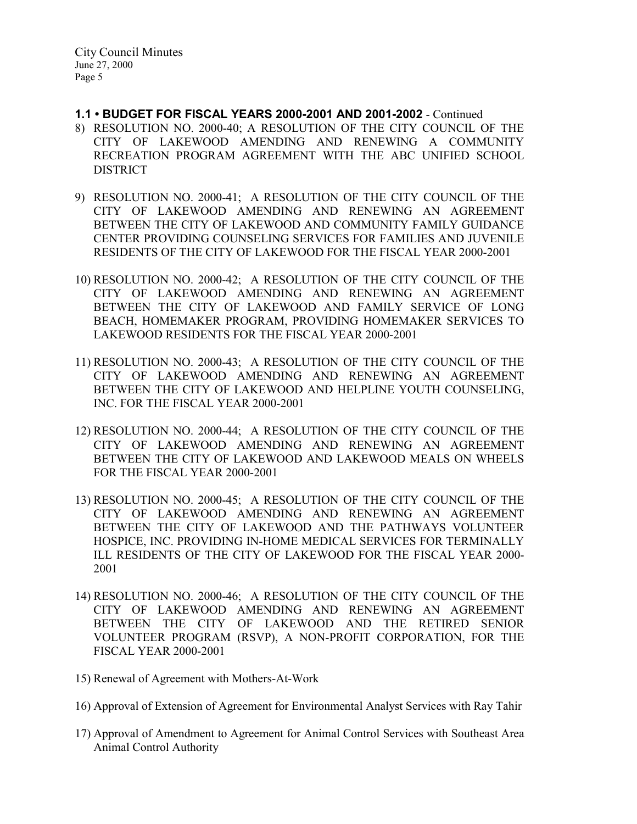- 1.1 BUDGET FOR FISCAL YEARS 2000-2001 AND 2001-2002 Continued
- 8) RESOLUTION NO. 2000-40; A RESOLUTION OF THE CITY COUNCIL OF THE CITY OF LAKEWOOD AMENDING AND RENEWING A COMMUNITY RECREATION PROGRAM AGREEMENT WITH THE ABC UNIFIED SCHOOL DISTRICT
- 9) RESOLUTION NO. 2000-41; A RESOLUTION OF THE CITY COUNCIL OF THE CITY OF LAKEWOOD AMENDING AND RENEWING AN AGREEMENT BETWEEN THE CITY OF LAKEWOOD AND COMMUNITY FAMILY GUIDANCE CENTER PROVIDING COUNSELING SERVICES FOR FAMILIES AND JUVENILE RESIDENTS OF THE CITY OF LAKEWOOD FOR THE FISCAL YEAR 2000-2001
- 10) RESOLUTION NO. 2000-42; A RESOLUTION OF THE CITY COUNCIL OF THE CITY OF LAKEWOOD AMENDING AND RENEWING AN AGREEMENT BETWEEN THE CITY OF LAKEWOOD AND FAMILY SERVICE OF LONG BEACH, HOMEMAKER PROGRAM, PROVIDING HOMEMAKER SERVICES TO LAKEWOOD RESIDENTS FOR THE FISCAL YEAR 2000-2001
- 11) RESOLUTION NO. 2000-43; A RESOLUTION OF THE CITY COUNCIL OF THE CITY OF LAKEWOOD AMENDING AND RENEWING AN AGREEMENT BETWEEN THE CITY OF LAKEWOOD AND HELPLINE YOUTH COUNSELING, INC. FOR THE FISCAL YEAR 2000-2001
- 12) RESOLUTION NO. 2000-44; A RESOLUTION OF THE CITY COUNCIL OF THE CITY OF LAKEWOOD AMENDING AND RENEWING AN AGREEMENT BETWEEN THE CITY OF LAKEWOOD AND LAKEWOOD MEALS ON WHEELS FOR THE FISCAL YEAR 2000-2001
- 13) RESOLUTION NO. 2000-45; A RESOLUTION OF THE CITY COUNCIL OF THE CITY OF LAKEWOOD AMENDING AND RENEWING AN AGREEMENT BETWEEN THE CITY OF LAKEWOOD AND THE PATHWAYS VOLUNTEER HOSPICE, INC. PROVIDING IN-HOME MEDICAL SERVICES FOR TERMINALLY ILL RESIDENTS OF THE CITY OF LAKEWOOD FOR THE FISCAL YEAR 2000- 2001
- 14) RESOLUTION NO. 2000-46; A RESOLUTION OF THE CITY COUNCIL OF THE CITY OF LAKEWOOD AMENDING AND RENEWING AN AGREEMENT BETWEEN THE CITY OF LAKEWOOD AND THE RETIRED SENIOR VOLUNTEER PROGRAM (RSVP), A NON-PROFIT CORPORATION, FOR THE FISCAL YEAR 2000-2001
- 15) Renewal of Agreement with Mothers-At-Work
- 16) Approval of Extension of Agreement for Environmental Analyst Services with Ray Tahir
- 17) Approval of Amendment to Agreement for Animal Control Services with Southeast Area Animal Control Authority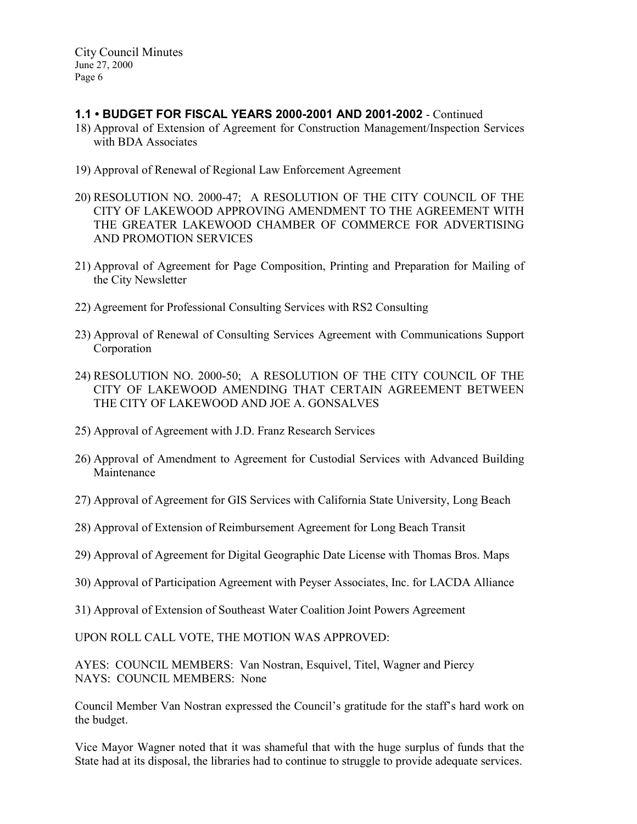# 1.1 • BUDGET FOR FISCAL YEARS 2000-2001 AND 2001-2002 - Continued

- 18) Approval of Extension of Agreement for Construction Management/Inspection Services with BDA Associates
- 19) Approval of Renewal of Regional Law Enforcement Agreement
- 20) RESOLUTION NO. 2000-47; A RESOLUTION OF THE CITY COUNCIL OF THE CITY OF LAKEWOOD APPROVING AMENDMENT TO THE AGREEMENT WITH THE GREATER LAKEWOOD CHAMBER OF COMMERCE FOR ADVERTISING AND PROMOTION SERVICES
- 21) Approval of Agreement for Page Composition, Printing and Preparation for Mailing of the City Newsletter
- 22) Agreement for Professional Consulting Services with RS2 Consulting
- 23) Approval of Renewal of Consulting Services Agreement with Communications Support Corporation
- 24) RESOLUTION NO. 2000-50; A RESOLUTION OF THE CITY COUNCIL OF THE CITY OF LAKEWOOD AMENDING THAT CERTAIN AGREEMENT BETWEEN THE CITY OF LAKEWOOD AND JOE A. GONSALVES
- 25) Approval of Agreement with J.D. Franz Research Services
- 26) Approval of Amendment to Agreement for Custodial Services with Advanced Building Maintenance
- 27) Approval of Agreement for GIS Services with California State University, Long Beach
- 28) Approval of Extension of Reimbursement Agreement for Long Beach Transit
- 29) Approval of Agreement for Digital Geographic Date License with Thomas Bros. Maps
- 30) Approval of Participation Agreement with Peyser Associates, Inc. for LACDA Alliance
- 31) Approval of Extension of Southeast Water Coalition Joint Powers Agreement

UPON ROLL CALL VOTE, THE MOTION WAS APPROVED:

AYES: COUNCIL MEMBERS: Van Nostran, Esquivel, Titel, Wagner and Piercy NAYS: COUNCIL MEMBERS: None

Council Member Van Nostran expressed the Council's gratitude for the staff's hard work on the budget.

Vice Mayor Wagner noted that it was shameful that with the huge surplus of funds that the State had at its disposal, the libraries had to continue to struggle to provide adequate services.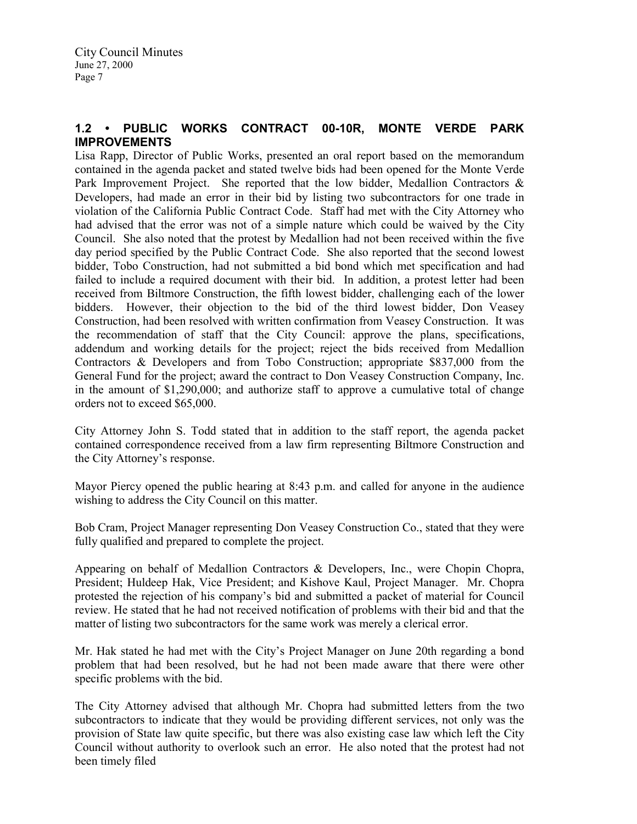# 1.2 • PUBLIC WORKS CONTRACT 00-10R, MONTE VERDE PARK IMPROVEMENTS

Lisa Rapp, Director of Public Works, presented an oral report based on the memorandum contained in the agenda packet and stated twelve bids had been opened for the Monte Verde Park Improvement Project. She reported that the low bidder, Medallion Contractors & Developers, had made an error in their bid by listing two subcontractors for one trade in violation of the California Public Contract Code. Staff had met with the City Attorney who had advised that the error was not of a simple nature which could be waived by the City Council. She also noted that the protest by Medallion had not been received within the five day period specified by the Public Contract Code. She also reported that the second lowest bidder, Tobo Construction, had not submitted a bid bond which met specification and had failed to include a required document with their bid. In addition, a protest letter had been received from Biltmore Construction, the fifth lowest bidder, challenging each of the lower bidders. However, their objection to the bid of the third lowest bidder, Don Veasey Construction, had been resolved with written confirmation from Veasey Construction. It was the recommendation of staff that the City Council: approve the plans, specifications, addendum and working details for the project; reject the bids received from Medallion Contractors & Developers and from Tobo Construction; appropriate \$837,000 from the General Fund for the project; award the contract to Don Veasey Construction Company, Inc. in the amount of \$1,290,000; and authorize staff to approve a cumulative total of change orders not to exceed \$65,000.

City Attorney John S. Todd stated that in addition to the staff report, the agenda packet contained correspondence received from a law firm representing Biltmore Construction and the City Attorney's response.

Mayor Piercy opened the public hearing at 8:43 p.m. and called for anyone in the audience wishing to address the City Council on this matter.

Bob Cram, Project Manager representing Don Veasey Construction Co., stated that they were fully qualified and prepared to complete the project.

Appearing on behalf of Medallion Contractors & Developers, Inc., were Chopin Chopra, President; Huldeep Hak, Vice President; and Kishove Kaul, Project Manager. Mr. Chopra protested the rejection of his company's bid and submitted a packet of material for Council review. He stated that he had not received notification of problems with their bid and that the matter of listing two subcontractors for the same work was merely a clerical error.

Mr. Hak stated he had met with the City's Project Manager on June 20th regarding a bond problem that had been resolved, but he had not been made aware that there were other specific problems with the bid.

The City Attorney advised that although Mr. Chopra had submitted letters from the two subcontractors to indicate that they would be providing different services, not only was the provision of State law quite specific, but there was also existing case law which left the City Council without authority to overlook such an error. He also noted that the protest had not been timely filed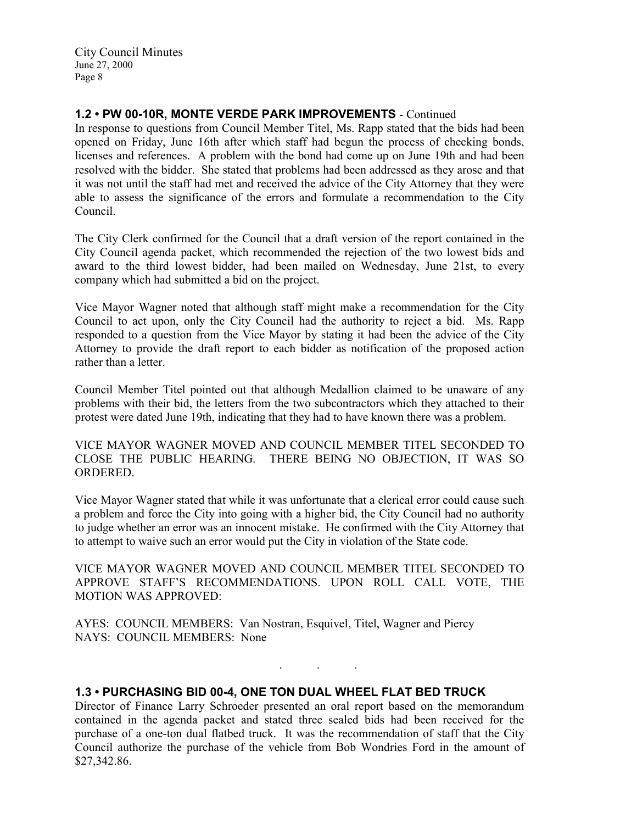# 1.2 • PW 00-10R, MONTE VERDE PARK IMPROVEMENTS - Continued

In response to questions from Council Member Titel, Ms. Rapp stated that the bids had been opened on Friday, June 16th after which staff had begun the process of checking bonds, licenses and references. A problem with the bond had come up on June 19th and had been resolved with the bidder. She stated that problems had been addressed as they arose and that it was not until the staff had met and received the advice of the City Attorney that they were able to assess the significance of the errors and formulate a recommendation to the City Council.

The City Clerk confirmed for the Council that a draft version of the report contained in the City Council agenda packet, which recommended the rejection of the two lowest bids and award to the third lowest bidder, had been mailed on Wednesday, June 21st, to every company which had submitted a bid on the project.

Vice Mayor Wagner noted that although staff might make a recommendation for the City Council to act upon, only the City Council had the authority to reject a bid. Ms. Rapp responded to a question from the Vice Mayor by stating it had been the advice of the City Attorney to provide the draft report to each bidder as notification of the proposed action rather than a letter.

Council Member Titel pointed out that although Medallion claimed to be unaware of any problems with their bid, the letters from the two subcontractors which they attached to their protest were dated June 19th, indicating that they had to have known there was a problem.

VICE MAYOR WAGNER MOVED AND COUNCIL MEMBER TITEL SECONDED TO CLOSE THE PUBLIC HEARING. THERE BEING NO OBJECTION, IT WAS SO ORDERED.

Vice Mayor Wagner stated that while it was unfortunate that a clerical error could cause such a problem and force the City into going with a higher bid, the City Council had no authority to judge whether an error was an innocent mistake. He confirmed with the City Attorney that to attempt to waive such an error would put the City in violation of the State code.

VICE MAYOR WAGNER MOVED AND COUNCIL MEMBER TITEL SECONDED TO APPROVE STAFF'S RECOMMENDATIONS. UPON ROLL CALL VOTE, THE MOTION WAS APPROVED:

AYES: COUNCIL MEMBERS: Van Nostran, Esquivel, Titel, Wagner and Piercy NAYS: COUNCIL MEMBERS: None

1.3 • PURCHASING BID 00-4, ONE TON DUAL WHEEL FLAT BED TRUCK

Director of Finance Larry Schroeder presented an oral report based on the memorandum contained in the agenda packet and stated three sealed bids had been received for the purchase of a one-ton dual flatbed truck. It was the recommendation of staff that the City Council authorize the purchase of the vehicle from Bob Wondries Ford in the amount of \$27,342.86.

. . .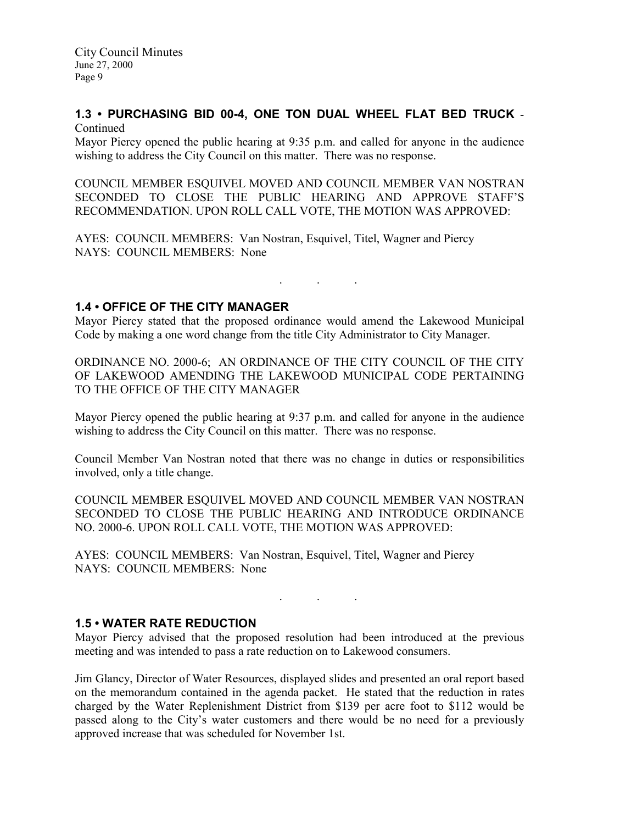# 1.3 • PURCHASING BID 00-4, ONE TON DUAL WHEEL FLAT BED TRUCK -

Continued

Mayor Piercy opened the public hearing at 9:35 p.m. and called for anyone in the audience wishing to address the City Council on this matter. There was no response.

COUNCIL MEMBER ESQUIVEL MOVED AND COUNCIL MEMBER VAN NOSTRAN SECONDED TO CLOSE THE PUBLIC HEARING AND APPROVE STAFF'S RECOMMENDATION. UPON ROLL CALL VOTE, THE MOTION WAS APPROVED:

AYES: COUNCIL MEMBERS: Van Nostran, Esquivel, Titel, Wagner and Piercy NAYS: COUNCIL MEMBERS: None

. . .

## 1.4 • OFFICE OF THE CITY MANAGER

Mayor Piercy stated that the proposed ordinance would amend the Lakewood Municipal Code by making a one word change from the title City Administrator to City Manager.

ORDINANCE NO. 2000-6; AN ORDINANCE OF THE CITY COUNCIL OF THE CITY OF LAKEWOOD AMENDING THE LAKEWOOD MUNICIPAL CODE PERTAINING TO THE OFFICE OF THE CITY MANAGER

Mayor Piercy opened the public hearing at 9:37 p.m. and called for anyone in the audience wishing to address the City Council on this matter. There was no response.

Council Member Van Nostran noted that there was no change in duties or responsibilities involved, only a title change.

COUNCIL MEMBER ESQUIVEL MOVED AND COUNCIL MEMBER VAN NOSTRAN SECONDED TO CLOSE THE PUBLIC HEARING AND INTRODUCE ORDINANCE NO. 2000-6. UPON ROLL CALL VOTE, THE MOTION WAS APPROVED:

AYES: COUNCIL MEMBERS: Van Nostran, Esquivel, Titel, Wagner and Piercy NAYS: COUNCIL MEMBERS: None

## 1.5 • WATER RATE REDUCTION

Mayor Piercy advised that the proposed resolution had been introduced at the previous meeting and was intended to pass a rate reduction on to Lakewood consumers.

 $\mathbf{r}$  .  $\mathbf{r}$  ,  $\mathbf{r}$  ,  $\mathbf{r}$  ,  $\mathbf{r}$  ,  $\mathbf{r}$  ,  $\mathbf{r}$ 

Jim Glancy, Director of Water Resources, displayed slides and presented an oral report based on the memorandum contained in the agenda packet. He stated that the reduction in rates charged by the Water Replenishment District from \$139 per acre foot to \$112 would be passed along to the City's water customers and there would be no need for a previously approved increase that was scheduled for November 1st.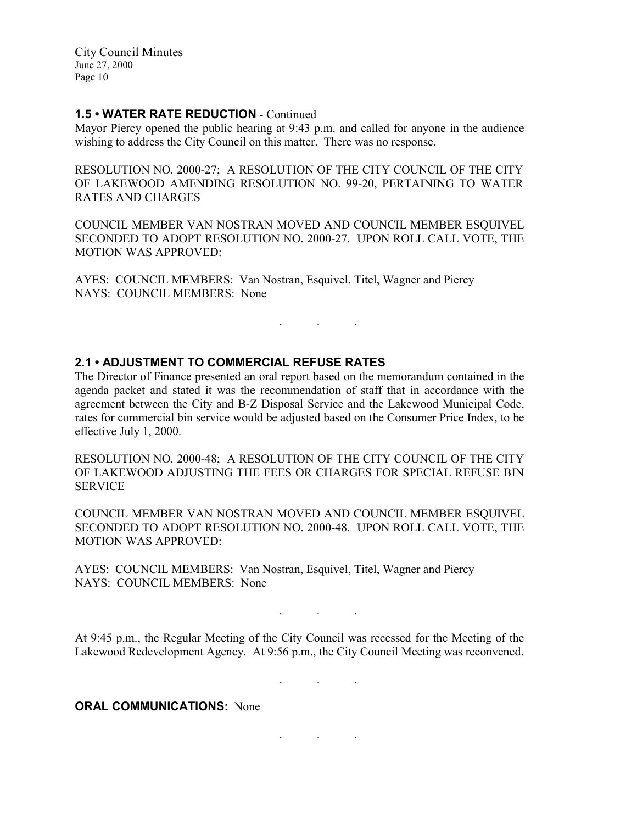## 1.5 • WATER RATE REDUCTION - Continued

Mayor Piercy opened the public hearing at 9:43 p.m. and called for anyone in the audience wishing to address the City Council on this matter. There was no response.

RESOLUTION NO. 2000-27; A RESOLUTION OF THE CITY COUNCIL OF THE CITY OF LAKEWOOD AMENDING RESOLUTION NO. 99-20, PERTAINING TO WATER RATES AND CHARGES

COUNCIL MEMBER VAN NOSTRAN MOVED AND COUNCIL MEMBER ESQUIVEL SECONDED TO ADOPT RESOLUTION NO. 2000-27. UPON ROLL CALL VOTE, THE MOTION WAS APPROVED:

. . .

AYES: COUNCIL MEMBERS: Van Nostran, Esquivel, Titel, Wagner and Piercy NAYS: COUNCIL MEMBERS: None

### 2.1 • ADJUSTMENT TO COMMERCIAL REFUSE RATES

The Director of Finance presented an oral report based on the memorandum contained in the agenda packet and stated it was the recommendation of staff that in accordance with the agreement between the City and B-Z Disposal Service and the Lakewood Municipal Code, rates for commercial bin service would be adjusted based on the Consumer Price Index, to be effective July 1, 2000.

RESOLUTION NO. 2000-48; A RESOLUTION OF THE CITY COUNCIL OF THE CITY OF LAKEWOOD ADJUSTING THE FEES OR CHARGES FOR SPECIAL REFUSE BIN **SERVICE** 

COUNCIL MEMBER VAN NOSTRAN MOVED AND COUNCIL MEMBER ESQUIVEL SECONDED TO ADOPT RESOLUTION NO. 2000-48. UPON ROLL CALL VOTE, THE MOTION WAS APPROVED:

AYES: COUNCIL MEMBERS: Van Nostran, Esquivel, Titel, Wagner and Piercy NAYS: COUNCIL MEMBERS: None

At 9:45 p.m., the Regular Meeting of the City Council was recessed for the Meeting of the Lakewood Redevelopment Agency. At 9:56 p.m., the City Council Meeting was reconvened.

. . .

. . .

. . .

**ORAL COMMUNICATIONS: None**